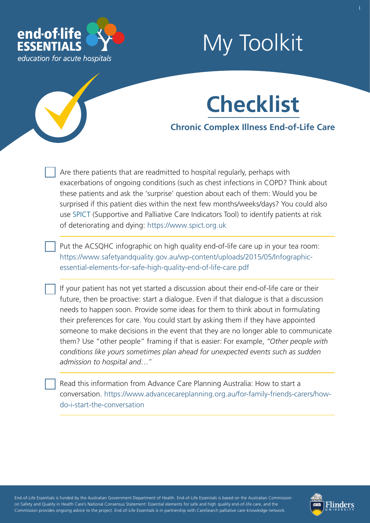

# My Toolkit

1

## **Checklist**

### **Chronic Complex Illness End-of-Life Care**

Are there patients that are readmitted to hospital regularly, perhaps with exacerbations of ongoing conditions (such as chest infections in COPD? Think about these patients and ask the 'surprise' question about each of them: Would you be surprised if this patient dies within the next few months/weeks/days? You could also use [SPICT](https://www.endoflifeessentials.com.au/Portals/14/document/SPICT_April_2019_EOLE.pdf) (Supportive and Palliative Care Indicators Tool) to identify patients at risk of deteriorating and dyi[ng: https://www.spict.org.uk](https://www.spict.org.uk)

Put the ACSQHC infographic on high quality end-of-life care up in your tea room: [https://www.safetyandquality.gov.au/wp-content/uploads/2015/05/Infographic](https://www.safetyandquality.gov.au/wp-content/uploads/2015/05/Infographic-essential-elements-for-safe-high-quality-end-of-life-care.pdf)essential-elements-for-safe-high-quality-end-of-life-care.pdf

If your patient has not yet started a discussion about their end-of-life care or their future, then be proactive: start a dialogue. Even if that dialogue is that a discussion needs to happen soon. Provide some ideas for them to think about in formulating their preferences for care. You could start by asking them if they have appointed someone to make decisions in the event that they are no longer able to communicate them? Use "other people" framing if that is easier: For example, *"Other people with conditions like yours sometimes plan ahead for unexpected events such as sudden admission to hospital and…"*

Read this information from Advance Care Planning Australia: How to start a [conversation. https://www.advancecareplanning.org.au/for-family-friends-carers/how](https://www.advancecareplanning.org.au/for-family-friends-carers/how-do-i-start-the-conversation)do-i-start-the-conversation

- - - - End-of-Life Essentials is funded by the Australian Government Department of Health. End-of-Life Essentials is based on the Australian Commission ' - - - on Safety and Quality in Health Care's National Consensus Statement: Essential elements for safe and high quality end-of-life care, and the - - Commission provides ongoing advice to the project. End-of-Life Essentials is in partnership with CareSearch palliative care knowledge network.

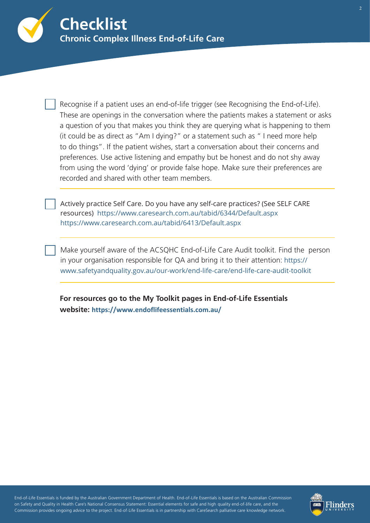

Recognise if a patient uses an end-of-life trigger (see Recognising the End-of-Life). These are openings in the conversation where the patients makes a statement or asks a question of you that makes you think they are querying what is happening to them (it could be as direct as "Am I dying?" or a statement such as " I need more help to do things". If the patient wishes, start a conversation about their concerns and preferences. Use active listening and empathy but be honest and do not shy away from using the word 'dying' or provide false hope. Make sure their preferences are recorded and shared with other team members.

Actively practice Self Care. Do you have any self-care practices? (See SELF CARE resources) <https://www.caresearch.com.au/tabid/6344/Default.aspx> <https://www.caresearch.com.au/tabid/6413/Default.aspx>

[Make yourself aware of the ACSQHC End-of-Life Care Aud](https://www.safetyandquality.gov.au/audit-toolkit-home/)it toolkit. Find the person in your organisation responsible for QA and bring it to their attention: https:// [www.safetyandquality.gov.au/our-work/end-life-care/end-life-care-audit-toolkit](https://www.safetyandquality.gov.au/our-work/end-life-care/end-life-care-audit-toolkit)

**For resources go to the My Toolkit pages in End-of-Life Essentials website: <https://www.endoflifeessentials.com.au/>**

- - - - End-of-Life Essentials is funded by the Australian Government Department of Health. End-of-Life Essentials is based on the Australian Commission ' - - - on Safety and Quality in Health Care's National Consensus Statement: Essential elements for safe and high quality end-of-life care, and the - - Commission provides ongoing advice to the project. End-of-Life Essentials is in partnership with CareSearch palliative care knowledge network.

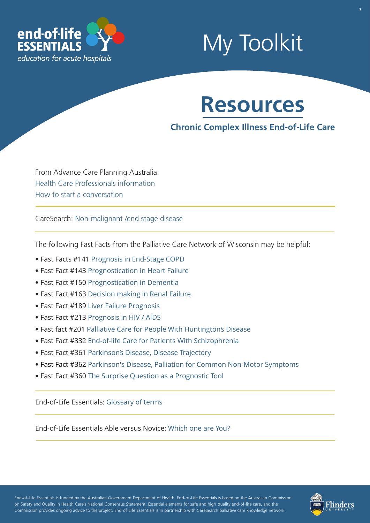

## My Toolkit



### **Chronic Complex Illness End-of-Life Care**

From Advance Care Planning Australia: Health C[are Professionals information](https://www.advancecareplanning.org.au/for-health-and-care-workers)  [How to start a conversation](http://advancecareplanning.org.au/for-family-friends-carers/how-do-i-start-the-conversation) 

CareSearch: [Non-malignant /end stage disease](https://www.caresearch.com.au/tabid/6365/Default.aspx)

The following Fast Facts from the Palliative Care Network of Wisconsin may be helpful:

- Fast Facts #141 [Prognosis in End-Stage COPD](https://www.mypcnow.org/fast-fact/prognosis-in-end-stage-copd/)
- Fast Fact #143 [Prognostication in Heart Failure](https://www.mypcnow.org/fast-fact/prognostication-in-heart-failure/)
- Fast Fact #150 [Prognostication in Dementia](https://www.mypcnow.org/fast-fact/prognostication-in-dementia/)
- Fast Fact #163 [Decision making in Renal Failure](https://www.mypcnow.org/fast-fact/decision-making-in-chronic-kidney-disease-ckd/)
- Fast Fact #189 [Liver Failure Prognosis](https://www.mypcnow.org/fast-fact/prognosis-in-decompensated-chronic-liver-failure/)
- Fast Fact #213 [Prognosis in HIV / AIDS](https://www.mypcnow.org/fast-fact/prognosis-in-hiv-and-aids/)
- Fast fact #201 [Palliative Care for People With Huntington's Disease](https://www.mypcnow.org/fast-fact/palliative-care-for-patients-with-huntingtons-disease/)
- Fast Fact #332 [End-of-life Care for Patients With Schizophrenia](https://www.mypcnow.org/fast-fact/end-of-life-care-for-patients-with-schizophrenia/)
- Fast Fact #361 [Parkinson's Disease, Disease Trajectory](https://www.mypcnow.org/fast-fact/parkinsons-disease-part-1-disease-trajectory/)
- Fast Fact #362 [Parkinson's Disease, Palliation for Common Non-Motor Symptoms](https://www.mypcnow.org/fast-fact/parkinsons-disease-part-2-palliation-for-common-non-motor-symptoms/)
- Fast Fact #360 [The Surprise Question as a Prognostic Tool](https://www.mypcnow.org/fast-fact/the-surprise-question-as-a-prognostic-tool/)

End-of-Life Essentials: [Glossary of terms](https://www.endoflifeessentials.com.au/tabid/5311/Default.aspx)

End-of-Life Essentials Able versus Novice: [Which one are You?](https://www.endoflifeessentials.com.au/Portals/14/Images/Education%20Module/ABLE-VS-NOVICE.jpg)

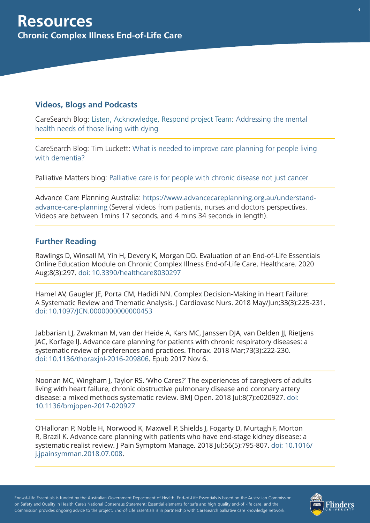#### **Videos, Blogs and Podcasts**

[CareSearch Blog: Listen, Acknowledge, Respond project Team: Addressing the mental](https://www.caresearch.com.au/TabId/6568/ArtMID/17907/ArticleID/2325/Listen-Acknowledge-Respond-Addressing-the-mental-health-needs-of-those-living-with-dying.aspx)  health needs of those living with dying

[CareSearch Blog: Tim Luckett: What is needed to improve care planning for people living](https://www.caresearch.com.au/TabId/6568/ArtMID/17907/ArticleID/2456/%E2%80%98What-is-needed-to-improve-care-planning-for-people-living-with-dementia%E2%80%99.aspx) with dementia?

Palliative Matters blog: [Palliative care is for people with chronic disease not just cancer](https://palliativecare.org.au/palliative-care-is-for-people-with-chronic-disease-not-just-cancer) 

Advance Care Planning Australia: https://www.advancecareplanning.org.au/understandadvance-care-planning [\(Several videos from patients, nurses and doctors perspectives.](https://www.advancecareplanning.org.au/understand-advance-care-planning)  Videos are between 1mins 17 seconds, and 4 mins 34 seconds in length).

#### **Further Reading**

Rawlings D, Winsall M, Yin H, Devery K, Morgan DD. Evaluation of an End-of-Life Essentials Online Education Module on Chronic Complex Illness End-of-Life Care. Healthcare. 2020 Aug;8(3):297. doi: [10.3390/hea](https://pubmed.ncbi.nlm.nih.gov/32854394/)[lthcare8030297](https://www.ncbi.nlm.nih.gov/pubmed/30063679)

Hamel AV, Gaugler JE, Porta CM, Hadidi NN. Complex Decision-Making in Heart Failure: A Systematic Review and Thematic Analysis. J Cardiovasc Nurs. 2018 May/Jun;33(3):225-231. [doi: 10.1097/JCN.0000000000000453](https://www.ncbi.nlm.nih.gov/pubmed/29232275)

Jabbarian LJ, Zwakman M, van der Heide A, Kars MC, Janssen DJA, van Delden JJ, Rietjens JAC, Korfage IJ. Advance care planning for patients with chronic respiratory diseases: a systematic review of preferences and practices. Thorax. 2018 Mar;73(3):222-230. [doi: 10.1136/thoraxjnl-2016-209806. E](https://www.ncbi.nlm.nih.gov/pubmed/29109233)pub 2017 Nov 6.

Noonan MC, Wingham J, Taylor RS. 'Who Cares?' The experiences of caregivers of adults living with heart failure, chronic obstructive pulmonary disease and coronary artery [disease: a mixed methods systematic review. BMJ Open. 2018 Jul;8\(7\):e020927. doi:](https://www.ncbi.nlm.nih.gov/pubmed/29997137)  10.1136/bmjopen-2017-020927

O'Halloran P, Noble H, Norwood K, Maxwell P, Shields J, Fogarty D, Murtagh F, Morton R, Brazil K. Advance care planning with patients who have end-stage kidney disease: a systematic realist review. | Pain Symptom Manage. 2018 |ul;56(5):795-807. doi: 10.1016/ [j.jpainsymman.2018.07.008.](https://www.ncbi.nlm.nih.gov/pubmed/30025939)

- - - - End-of-Life Essentials is funded by the Australian Government Department of Health. End-of-Life Essentials is based on the Australian Commission ' - - - on Safety and Quality in Health Care's National Consensus Statement: Essential elements for safe and high quality end-of -ife care, and the - - Commission provides ongoing advice to the project. End-of-Life Essentials is in partnership with CareSearch palliative care knowledge network.